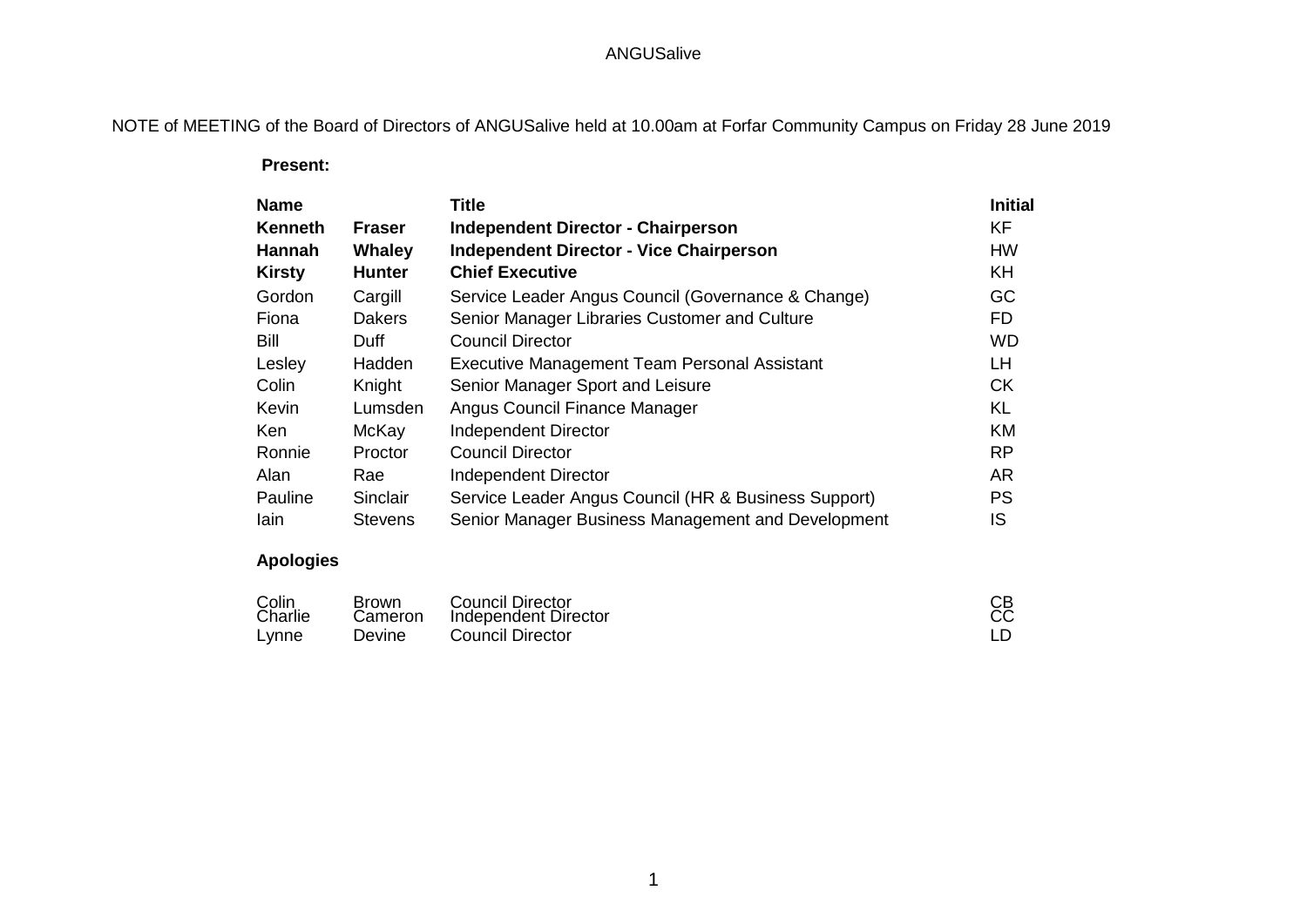# ANGUSalive

# NOTE of MEETING of the Board of Directors of ANGUSalive held at 10.00am at Forfar Community Campus on Friday 28 June 2019

 **Present:**

| <b>Name</b>   |                | <b>Title</b>                                         | <b>Initial</b> |
|---------------|----------------|------------------------------------------------------|----------------|
| Kenneth       | <b>Fraser</b>  | <b>Independent Director - Chairperson</b>            | <b>KF</b>      |
| <b>Hannah</b> | Whaley         | <b>Independent Director - Vice Chairperson</b>       | <b>HW</b>      |
| <b>Kirsty</b> | <b>Hunter</b>  | <b>Chief Executive</b>                               | <b>KH</b>      |
| Gordon        | Cargill        | Service Leader Angus Council (Governance & Change)   | GC             |
| Fiona         | <b>Dakers</b>  | Senior Manager Libraries Customer and Culture        | <b>FD</b>      |
| Bill          | Duff           | <b>Council Director</b>                              | <b>WD</b>      |
| Lesley        | Hadden         | Executive Management Team Personal Assistant         | <b>LH</b>      |
| Colin         | Knight         | Senior Manager Sport and Leisure                     | <b>CK</b>      |
| Kevin         | Lumsden        | Angus Council Finance Manager                        | <b>KL</b>      |
| Ken           | McKay          | <b>Independent Director</b>                          | <b>KM</b>      |
| Ronnie        | Proctor        | <b>Council Director</b>                              | <b>RP</b>      |
| Alan          | Rae            | Independent Director                                 | <b>AR</b>      |
| Pauline       | Sinclair       | Service Leader Angus Council (HR & Business Support) | <b>PS</b>      |
| lain          | <b>Stevens</b> | Senior Manager Business Management and Development   | IS             |

# **Apologies**

| Colin<br>Charlie | <b>Brown</b><br>Cameron | <b>Council Director</b><br><b>Independent Director</b> | CB<br>CC |
|------------------|-------------------------|--------------------------------------------------------|----------|
| Lynne            | Devine                  | <b>Council Director</b>                                |          |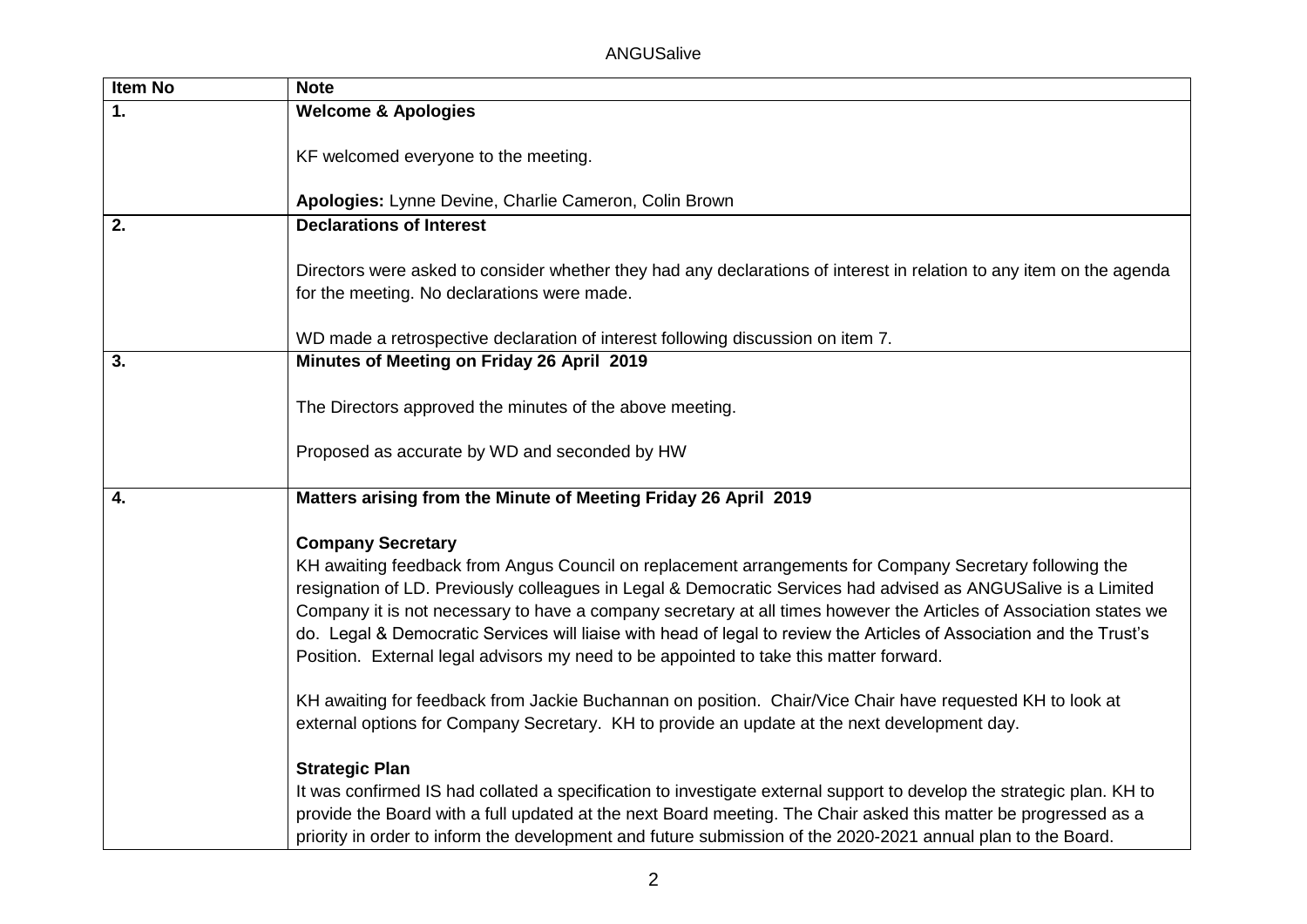| Item No | <b>Note</b>                                                                                                                                                                                                                                                                                                                                                                                                                                                                                                                                                                                   |
|---------|-----------------------------------------------------------------------------------------------------------------------------------------------------------------------------------------------------------------------------------------------------------------------------------------------------------------------------------------------------------------------------------------------------------------------------------------------------------------------------------------------------------------------------------------------------------------------------------------------|
| 1.      | <b>Welcome &amp; Apologies</b>                                                                                                                                                                                                                                                                                                                                                                                                                                                                                                                                                                |
|         | KF welcomed everyone to the meeting.                                                                                                                                                                                                                                                                                                                                                                                                                                                                                                                                                          |
|         | Apologies: Lynne Devine, Charlie Cameron, Colin Brown                                                                                                                                                                                                                                                                                                                                                                                                                                                                                                                                         |
| 2.      | <b>Declarations of Interest</b>                                                                                                                                                                                                                                                                                                                                                                                                                                                                                                                                                               |
|         | Directors were asked to consider whether they had any declarations of interest in relation to any item on the agenda<br>for the meeting. No declarations were made.                                                                                                                                                                                                                                                                                                                                                                                                                           |
|         | WD made a retrospective declaration of interest following discussion on item 7.                                                                                                                                                                                                                                                                                                                                                                                                                                                                                                               |
| 3.      | Minutes of Meeting on Friday 26 April 2019                                                                                                                                                                                                                                                                                                                                                                                                                                                                                                                                                    |
|         | The Directors approved the minutes of the above meeting.                                                                                                                                                                                                                                                                                                                                                                                                                                                                                                                                      |
|         | Proposed as accurate by WD and seconded by HW                                                                                                                                                                                                                                                                                                                                                                                                                                                                                                                                                 |
| 4.      | Matters arising from the Minute of Meeting Friday 26 April 2019                                                                                                                                                                                                                                                                                                                                                                                                                                                                                                                               |
|         | <b>Company Secretary</b><br>KH awaiting feedback from Angus Council on replacement arrangements for Company Secretary following the<br>resignation of LD. Previously colleagues in Legal & Democratic Services had advised as ANGUSalive is a Limited<br>Company it is not necessary to have a company secretary at all times however the Articles of Association states we<br>do. Legal & Democratic Services will liaise with head of legal to review the Articles of Association and the Trust's<br>Position. External legal advisors my need to be appointed to take this matter forward. |
|         | KH awaiting for feedback from Jackie Buchannan on position. Chair/Vice Chair have requested KH to look at<br>external options for Company Secretary. KH to provide an update at the next development day.                                                                                                                                                                                                                                                                                                                                                                                     |
|         | <b>Strategic Plan</b><br>It was confirmed IS had collated a specification to investigate external support to develop the strategic plan. KH to<br>provide the Board with a full updated at the next Board meeting. The Chair asked this matter be progressed as a<br>priority in order to inform the development and future submission of the 2020-2021 annual plan to the Board.                                                                                                                                                                                                             |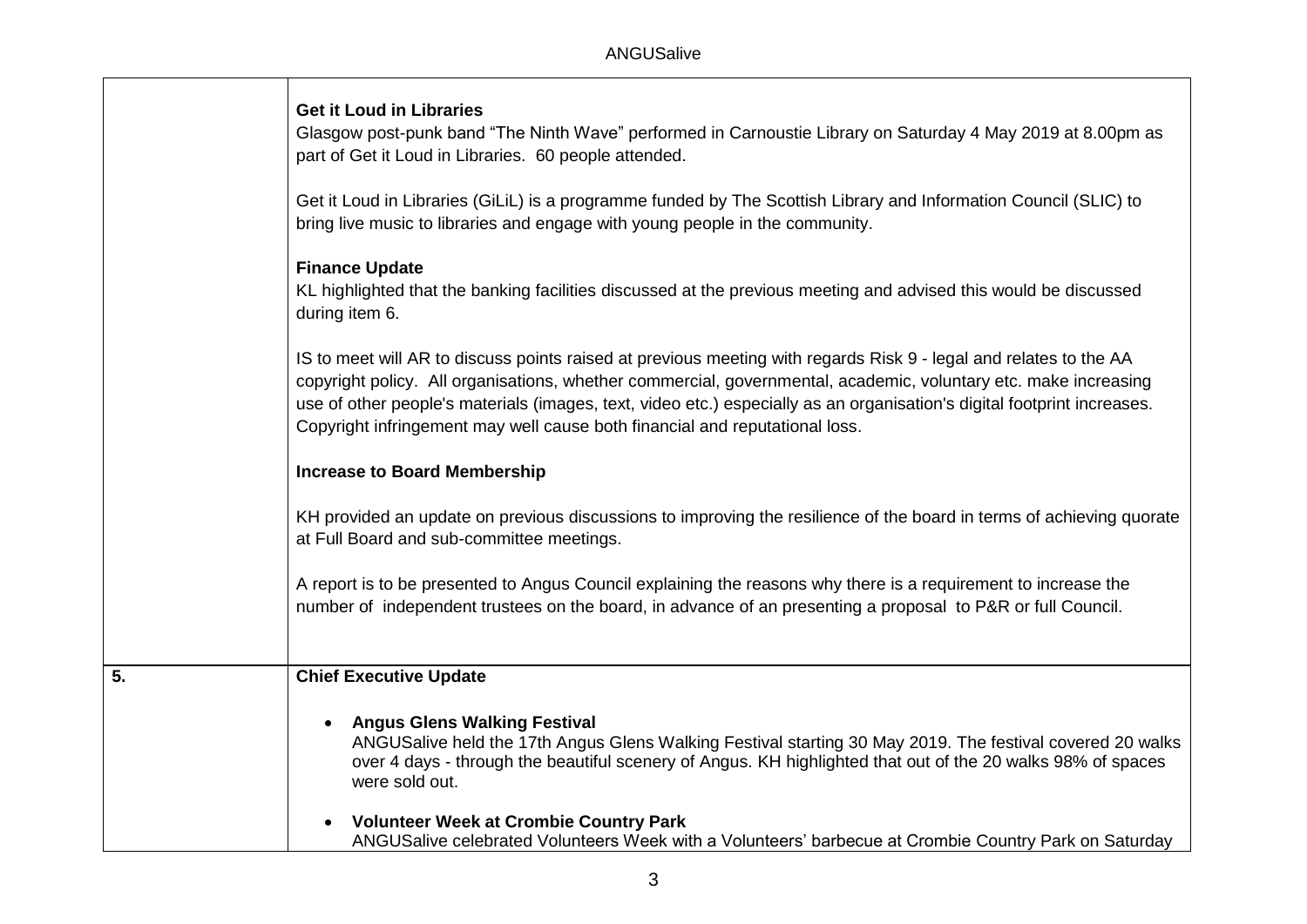|  |  | <b>Get it Loud in Libraries</b> |  |  |  |
|--|--|---------------------------------|--|--|--|
|--|--|---------------------------------|--|--|--|

Glasgow post-punk band "The Ninth Wave" performed in Carnoustie Library on Saturday 4 May 2019 at 8.00pm as part of Get it Loud in Libraries. 60 people attended.

Get it Loud in Libraries (GiLiL) is a programme funded by The Scottish Library and Information Council (SLIC) to bring live music to libraries and engage with young people in the community.

#### **Finance Update**

KL highlighted that the banking facilities discussed at the previous meeting and advised this would be discussed during item 6.

IS to meet will AR to discuss points raised at previous meeting with regards Risk 9 - legal and relates to the AA copyright policy. All organisations, whether commercial, governmental, academic, voluntary etc. make increasing use of other people's materials (images, text, video etc.) especially as an organisation's digital footprint increases. Copyright infringement may well cause both financial and reputational loss.

# **Increase to Board Membership**

KH provided an update on previous discussions to improving the resilience of the board in terms of achieving quorate at Full Board and sub-committee meetings.

A report is to be presented to Angus Council explaining the reasons why there is a requirement to increase the number of independent trustees on the board, in advance of an presenting a proposal to P&R or full Council.

# **5. Chief Executive Update**

# **Angus Glens Walking Festival**

ANGUSalive held the 17th Angus Glens Walking Festival starting 30 May 2019. The festival covered 20 walks over 4 days - through the beautiful scenery of Angus. KH highlighted that out of the 20 walks 98% of spaces were sold out.

 **Volunteer Week at Crombie Country Park** ANGUSalive celebrated Volunteers Week with a Volunteers' barbecue at Crombie Country Park on Saturday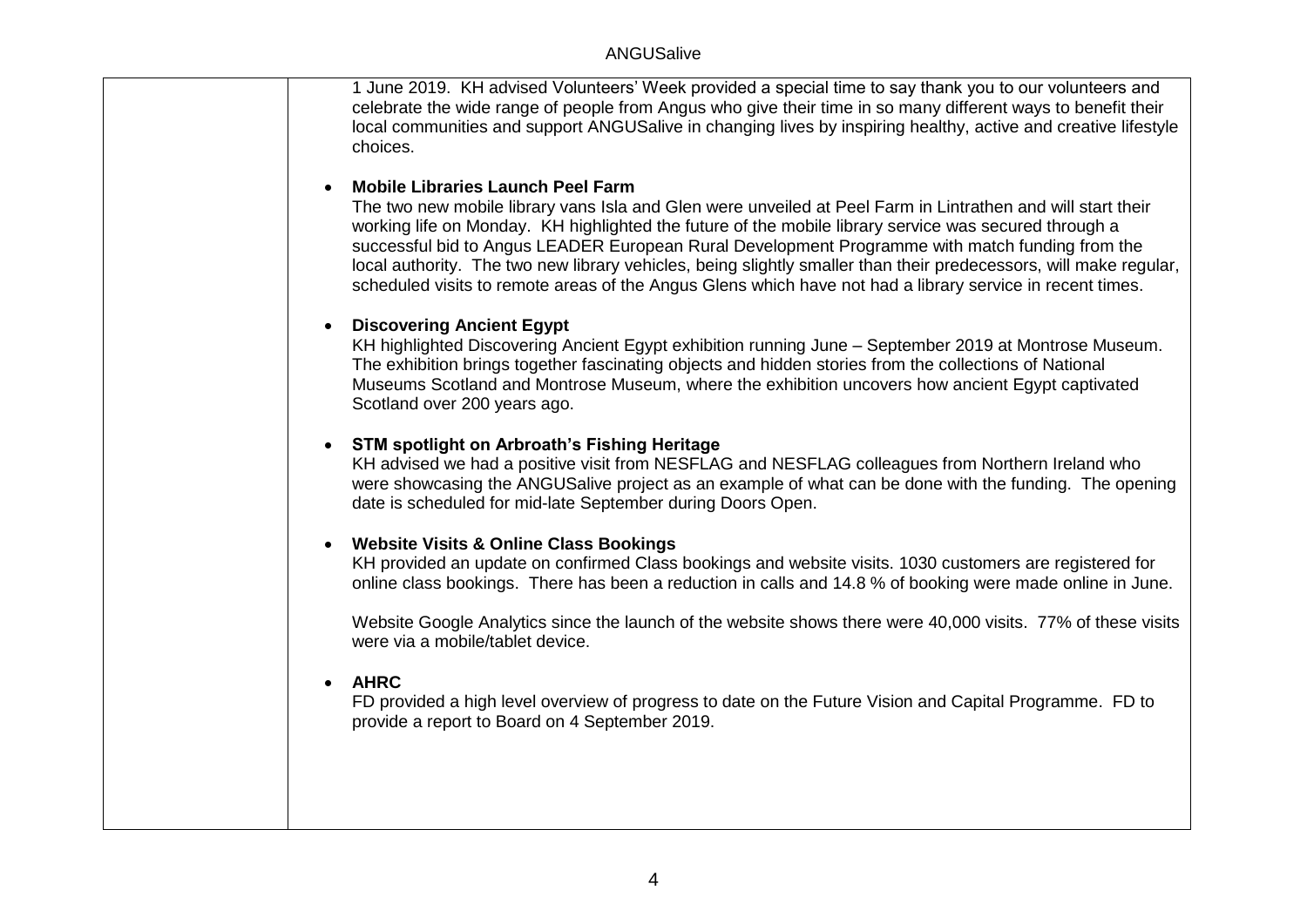1 June 2019. KH advised Volunteers' Week provided a special time to say thank you to our volunteers and celebrate the wide range of people from Angus who give their time in so many different ways to benefit their local communities and support ANGUSalive in changing lives by inspiring healthy, active and creative lifestyle choices.

#### **Mobile Libraries Launch Peel Farm**

The two new mobile library vans Isla and Glen were unveiled at Peel Farm in Lintrathen and will start their working life on Monday. KH highlighted the future of the mobile library service was secured through a successful bid to Angus LEADER European Rural Development Programme with match funding from the local authority. The two new library vehicles, being slightly smaller than their predecessors, will make regular, scheduled visits to remote areas of the Angus Glens which have not had a library service in recent times.

#### **Discovering Ancient Egypt**

KH highlighted Discovering Ancient Egypt exhibition running June – September 2019 at Montrose Museum. The exhibition brings together fascinating objects and hidden stories from the collections of National Museums Scotland and Montrose Museum, where the exhibition uncovers how ancient Egypt captivated Scotland over 200 years ago.

#### **STM spotlight on Arbroath's Fishing Heritage**

KH advised we had a positive visit from NESFLAG and NESFLAG colleagues from Northern Ireland who were showcasing the ANGUSalive project as an example of what can be done with the funding. The opening date is scheduled for mid-late September during Doors Open.

# **Website Visits & Online Class Bookings**

KH provided an update on confirmed Class bookings and website visits. 1030 customers are registered for online class bookings. There has been a reduction in calls and 14.8 % of booking were made online in June.

Website Google Analytics since the launch of the website shows there were 40,000 visits. 77% of these visits were via a mobile/tablet device.

# **AHRC**

FD provided a high level overview of progress to date on the Future Vision and Capital Programme. FD to provide a report to Board on 4 September 2019.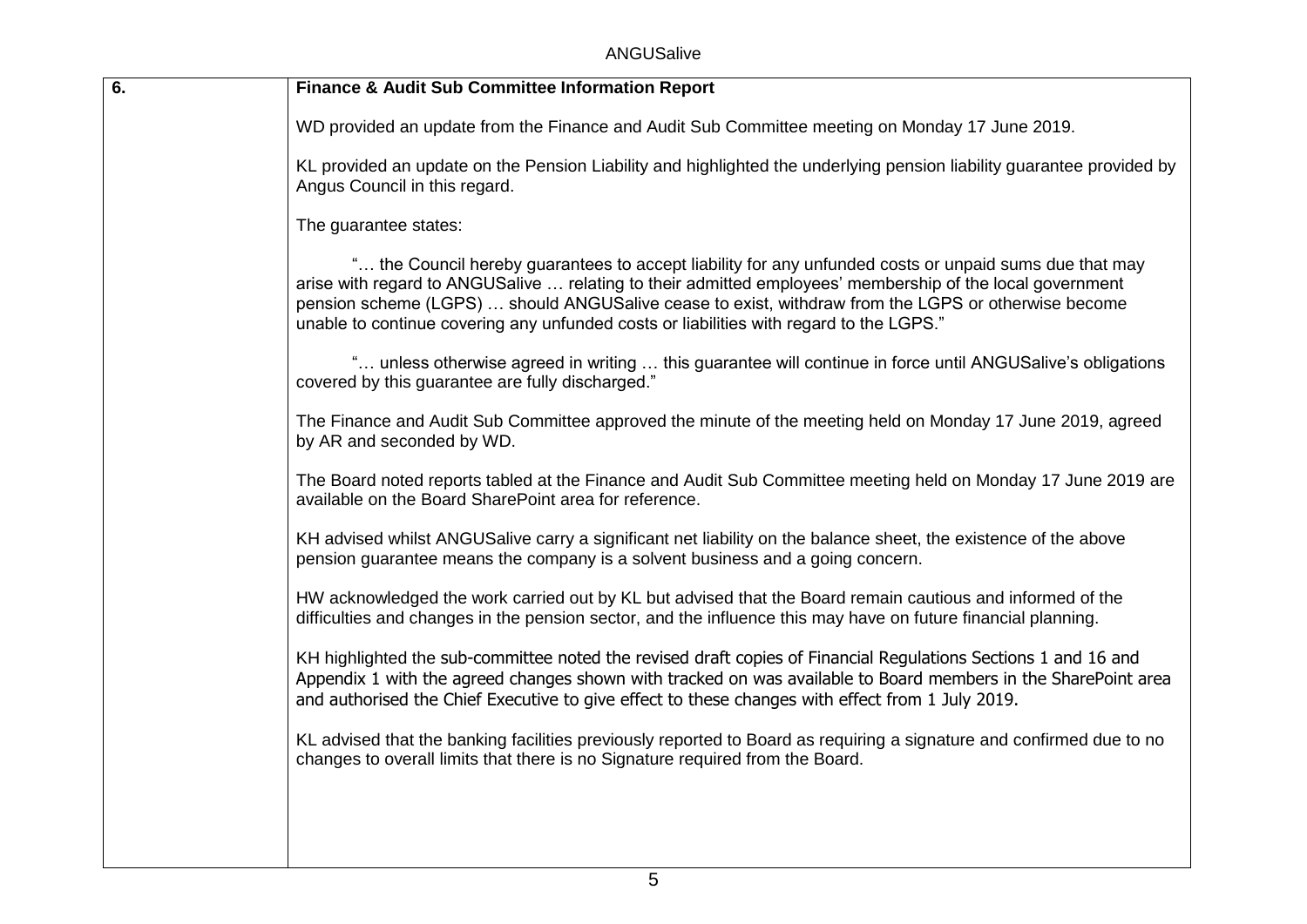ANGUSalive

| 6. | <b>Finance &amp; Audit Sub Committee Information Report</b>                                                                                                                                                                                                                                                                                                                                                           |
|----|-----------------------------------------------------------------------------------------------------------------------------------------------------------------------------------------------------------------------------------------------------------------------------------------------------------------------------------------------------------------------------------------------------------------------|
|    | WD provided an update from the Finance and Audit Sub Committee meeting on Monday 17 June 2019.                                                                                                                                                                                                                                                                                                                        |
|    | KL provided an update on the Pension Liability and highlighted the underlying pension liability guarantee provided by<br>Angus Council in this regard.                                                                                                                                                                                                                                                                |
|    | The guarantee states:                                                                                                                                                                                                                                                                                                                                                                                                 |
|    | " the Council hereby guarantees to accept liability for any unfunded costs or unpaid sums due that may<br>arise with regard to ANGUSalive  relating to their admitted employees' membership of the local government<br>pension scheme (LGPS)  should ANGUSalive cease to exist, withdraw from the LGPS or otherwise become<br>unable to continue covering any unfunded costs or liabilities with regard to the LGPS." |
|    | " unless otherwise agreed in writing  this guarantee will continue in force until ANGUSalive's obligations<br>covered by this guarantee are fully discharged."                                                                                                                                                                                                                                                        |
|    | The Finance and Audit Sub Committee approved the minute of the meeting held on Monday 17 June 2019, agreed<br>by AR and seconded by WD.                                                                                                                                                                                                                                                                               |
|    | The Board noted reports tabled at the Finance and Audit Sub Committee meeting held on Monday 17 June 2019 are<br>available on the Board SharePoint area for reference.                                                                                                                                                                                                                                                |
|    | KH advised whilst ANGUSalive carry a significant net liability on the balance sheet, the existence of the above<br>pension guarantee means the company is a solvent business and a going concern.                                                                                                                                                                                                                     |
|    | HW acknowledged the work carried out by KL but advised that the Board remain cautious and informed of the<br>difficulties and changes in the pension sector, and the influence this may have on future financial planning.                                                                                                                                                                                            |
|    | KH highlighted the sub-committee noted the revised draft copies of Financial Regulations Sections 1 and 16 and<br>Appendix 1 with the agreed changes shown with tracked on was available to Board members in the SharePoint area<br>and authorised the Chief Executive to give effect to these changes with effect from 1 July 2019.                                                                                  |
|    | KL advised that the banking facilities previously reported to Board as requiring a signature and confirmed due to no<br>changes to overall limits that there is no Signature required from the Board.                                                                                                                                                                                                                 |
|    |                                                                                                                                                                                                                                                                                                                                                                                                                       |
|    |                                                                                                                                                                                                                                                                                                                                                                                                                       |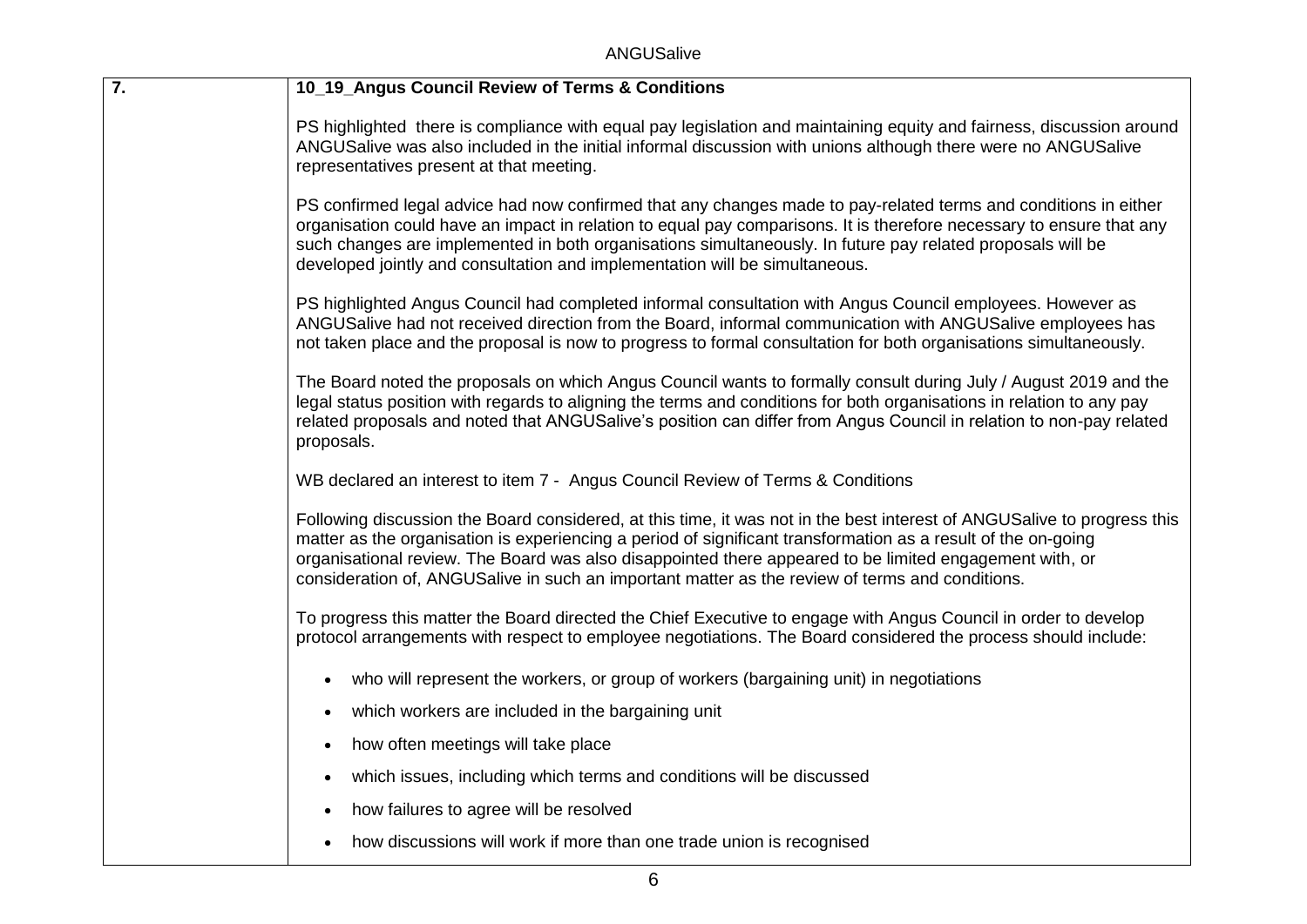ANGUSalive

| $\overline{7}$ . | 10_19_Angus Council Review of Terms & Conditions                                                                                                                                                                                                                                                                                                                                                                                                       |
|------------------|--------------------------------------------------------------------------------------------------------------------------------------------------------------------------------------------------------------------------------------------------------------------------------------------------------------------------------------------------------------------------------------------------------------------------------------------------------|
|                  | PS highlighted there is compliance with equal pay legislation and maintaining equity and fairness, discussion around<br>ANGUSalive was also included in the initial informal discussion with unions although there were no ANGUSalive<br>representatives present at that meeting.                                                                                                                                                                      |
|                  | PS confirmed legal advice had now confirmed that any changes made to pay-related terms and conditions in either<br>organisation could have an impact in relation to equal pay comparisons. It is therefore necessary to ensure that any<br>such changes are implemented in both organisations simultaneously. In future pay related proposals will be<br>developed jointly and consultation and implementation will be simultaneous.                   |
|                  | PS highlighted Angus Council had completed informal consultation with Angus Council employees. However as<br>ANGUSalive had not received direction from the Board, informal communication with ANGUSalive employees has<br>not taken place and the proposal is now to progress to formal consultation for both organisations simultaneously.                                                                                                           |
|                  | The Board noted the proposals on which Angus Council wants to formally consult during July / August 2019 and the<br>legal status position with regards to aligning the terms and conditions for both organisations in relation to any pay<br>related proposals and noted that ANGUSalive's position can differ from Angus Council in relation to non-pay related<br>proposals.                                                                         |
|                  | WB declared an interest to item 7 - Angus Council Review of Terms & Conditions                                                                                                                                                                                                                                                                                                                                                                         |
|                  | Following discussion the Board considered, at this time, it was not in the best interest of ANGUSalive to progress this<br>matter as the organisation is experiencing a period of significant transformation as a result of the on-going<br>organisational review. The Board was also disappointed there appeared to be limited engagement with, or<br>consideration of, ANGUSalive in such an important matter as the review of terms and conditions. |
|                  | To progress this matter the Board directed the Chief Executive to engage with Angus Council in order to develop<br>protocol arrangements with respect to employee negotiations. The Board considered the process should include:                                                                                                                                                                                                                       |
|                  | who will represent the workers, or group of workers (bargaining unit) in negotiations                                                                                                                                                                                                                                                                                                                                                                  |
|                  | which workers are included in the bargaining unit<br>$\bullet$                                                                                                                                                                                                                                                                                                                                                                                         |
|                  | how often meetings will take place<br>$\bullet$                                                                                                                                                                                                                                                                                                                                                                                                        |
|                  | which issues, including which terms and conditions will be discussed                                                                                                                                                                                                                                                                                                                                                                                   |
|                  | how failures to agree will be resolved                                                                                                                                                                                                                                                                                                                                                                                                                 |
|                  | how discussions will work if more than one trade union is recognised                                                                                                                                                                                                                                                                                                                                                                                   |